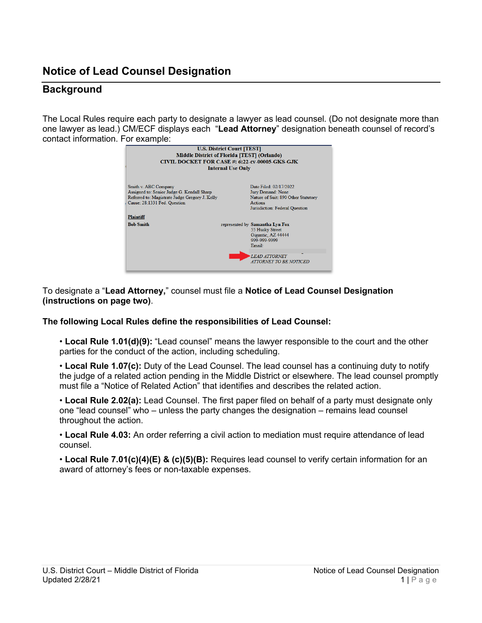## **Notice of Lead Counsel Designation**

## **Background**

The Local Rules require each party to designate a lawyer as lead counsel. (Do not designate more than one lawyer as lead.) CM/ECF displays each "**Lead Attorney**" designation beneath counsel of record's contact information. For example:

| <b>U.S. District Court [TEST]</b><br><b>Middle District of Florida [TEST] (Orlando)</b><br>CIVIL DOCKET FOR CASE #: 6:22-cv-00005-GKS-GJK<br><b>Internal Use Only</b> |  |                                                                                                                                 |
|-----------------------------------------------------------------------------------------------------------------------------------------------------------------------|--|---------------------------------------------------------------------------------------------------------------------------------|
| Smith v. ABC Company<br>Assigned to: Senior Judge G. Kendall Sharp<br>Referred to: Magistrate Judge Gregory J. Kelly<br>Cause: 28:1331 Fed. Ouestion                  |  | Date Filed: 02/17/2022<br>Jury Demand: None<br>Nature of Suit: 890 Other Statutory<br>Actions<br>Jurisdiction: Federal Question |
| <b>Plaintiff</b><br><b>Bob Smith</b>                                                                                                                                  |  | represented by Samantha Lyn Fox<br>55 Husky Street<br>Gigantic, AZ 44444<br>999-999-9999<br>Email:                              |
|                                                                                                                                                                       |  | <b>LEAD ATTORNEY</b><br><b>ATTORNEY TO BE NOTICED</b>                                                                           |

To designate a "**Lead Attorney,**" counsel must file a **Notice of Lead Counsel Designation (instructions on page two)**.

## **The following Local Rules define the responsibilities of Lead Counsel:**

• **Local Rule 1.01(d)(9):** "Lead counsel" means the lawyer responsible to the court and the other parties for the conduct of the action, including scheduling.

• **Local Rule 1.07(c):** Duty of the Lead Counsel. The lead counsel has a continuing duty to notify the judge of a related action pending in the Middle District or elsewhere. The lead counsel promptly must file a "Notice of Related Action" that identifies and describes the related action.

• **Local Rule 2.02(a):** Lead Counsel. The first paper filed on behalf of a party must designate only one "lead counsel" who – unless the party changes the designation – remains lead counsel throughout the action.

• **Local Rule 4.03:** An order referring a civil action to mediation must require attendance of lead counsel.

• **Local Rule 7.01(c)(4)(E) & (c)(5)(B):** Requires lead counsel to verify certain information for an award of attorney's fees or non-taxable expenses.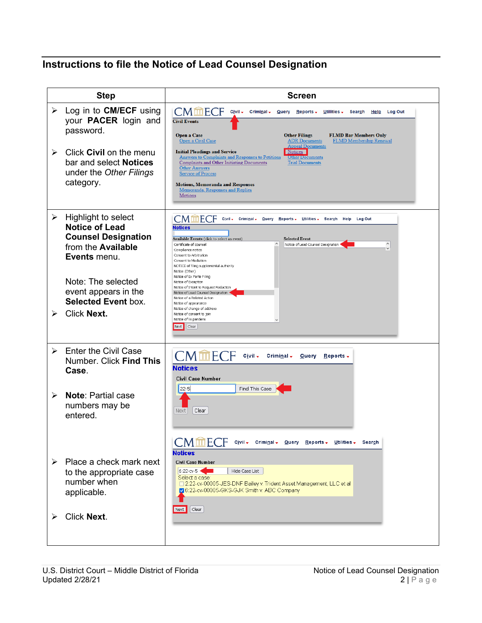## **Instructions to file the Notice of Lead Counsel Designation**

| <b>Step</b>                |                                                                                                                                                                                                                           | <b>Screen</b>                                                                                                                                                                                                                                                                                                                                                                                                                                                                                                                                                                                                                                                                                                    |
|----------------------------|---------------------------------------------------------------------------------------------------------------------------------------------------------------------------------------------------------------------------|------------------------------------------------------------------------------------------------------------------------------------------------------------------------------------------------------------------------------------------------------------------------------------------------------------------------------------------------------------------------------------------------------------------------------------------------------------------------------------------------------------------------------------------------------------------------------------------------------------------------------------------------------------------------------------------------------------------|
| $\blacktriangleright$<br>➤ | Log in to <b>CM/ECF</b> using<br>your <b>PACER</b> login and<br>password.<br>Click Civil on the menu<br>bar and select <b>Notices</b><br>under the Other Filings<br>category.                                             | <b>CM血ECF</b><br>Civil -<br>Criminal + $\frac{Q}{Q}$ uery Reports +<br>Utilities $\overline{\phantom{a}}$<br>Search<br>Help Log Out<br><b>Civil Events</b><br>Open a Case<br><b>Other Filings</b><br><b>FLMD Bar Members Only</b><br><b>ADR</b> Documents<br><b>FLMD Membership Renewal</b><br>Open a Civil Case<br><b>Appeal Documents</b><br><b>Initial Pleadings and Service</b><br>Notices<br>Answers to Complaints and Responses to Petitions<br><b>Other Documents</b><br><b>Complaints and Other Initiating Documents</b><br><b>Trial Documents</b><br><b>Other Answers</b><br><b>Service of Process</b><br><b>Motions, Memoranda and Responses</b><br>Memoranda, Responses and Replies<br><b>Motions</b> |
| ➤<br>➤                     | Highlight to select<br><b>Notice of Lead</b><br><b>Counsel Designation</b><br>from the <b>Available</b><br>Events menu.<br>Note: The selected<br>event appears in the<br><b>Selected Event box.</b><br><b>Click Next.</b> | CMmEC<br>Civil Criminal - Query<br>Reports - Utilities - Search<br>Help<br>Log Out<br><b>Notices</b><br>Available Events (click to select an event)<br><b>Selected Event</b><br>$\hat{}$<br>Notice of Lead Counsel Designation<br>Certificate of counsel<br>Compliance notice<br>Consent to Arbitration<br>Consent to Mediation<br>NOTICE of filing supplemental authority<br>Notice (Other)<br>Notice of Ex Parte Filing<br>Notice of Exception<br>Notice of Intent to Request Redaction<br>Notice of Lead Counsel Designation<br>Notice of a Related Action<br>Notice of appearance<br>Notice of change of address<br>Notice of consent to join<br>Notice of lis pendens<br>Next  <br>Clear                    |
| $\blacktriangleright$<br>≻ | <b>Enter the Civil Case</b><br>Number. Click Find This<br>Case.<br><b>Note: Partial case</b><br>numbers may be<br>entered.                                                                                                | <b>CMmECF</b><br>Civil -<br>Criminal $\sim$<br>Query<br>$\mathbf{Reports}$<br><b>Notices</b><br>Civil Case Number<br>Find This Case<br>22-5<br>Clear<br>Next.<br><b>CM血ECF</b><br>Civil - Criminal - Query Reports - Utilities - Search                                                                                                                                                                                                                                                                                                                                                                                                                                                                          |
| ≻                          | Place a check mark next<br>to the appropriate case<br>number when<br>applicable.<br><b>Click Next.</b>                                                                                                                    | <b>Notices</b><br>Civil Case Number<br>6:22-cv-5<br>Hide Case List<br>Select a case:<br>□ 2:22-cv-00005-JES-DNF Bailey v. Trident Asset Management, LLC et al<br>O 6:22-cv-00005-GKS-GJK Smith v. ABC Company<br>Clear<br>Next                                                                                                                                                                                                                                                                                                                                                                                                                                                                                   |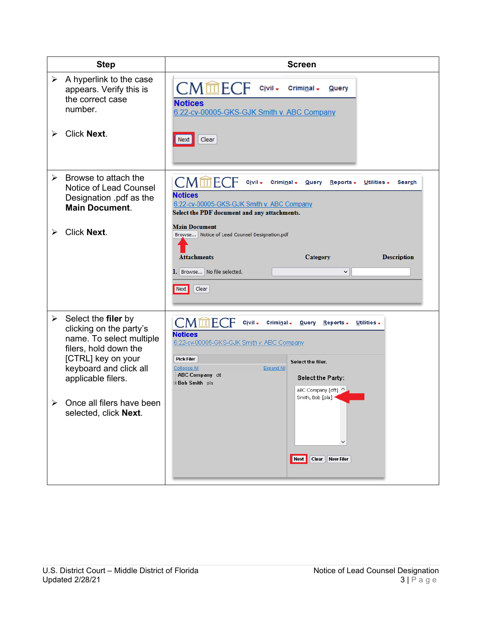| <b>Step</b>           |                                                                                                                                                                                                        | <b>Screen</b>                                                                                                                                                                                                                                                                                                                                                             |
|-----------------------|--------------------------------------------------------------------------------------------------------------------------------------------------------------------------------------------------------|---------------------------------------------------------------------------------------------------------------------------------------------------------------------------------------------------------------------------------------------------------------------------------------------------------------------------------------------------------------------------|
| $\blacktriangleright$ | A hyperlink to the case<br>appears. Verify this is<br>the correct case<br>number.                                                                                                                      | <b>CMmECF</b><br>Civil -<br>Criminal $\star$<br><b>Query</b><br><b>Notices</b><br>6:22-cv-00005-GKS-GJK Smith v. ABC Company                                                                                                                                                                                                                                              |
| ➤                     | <b>Click Next.</b>                                                                                                                                                                                     | Clear<br>Next                                                                                                                                                                                                                                                                                                                                                             |
| $\blacktriangleright$ | Browse to attach the<br>Notice of Lead Counsel<br>Designation .pdf as the<br><b>Main Document.</b>                                                                                                     | <b>CMmECF</b><br>Civil -<br>Criminal $\star$<br>Query<br>$Reports -$<br>Utilities $\overline{\phantom{a}}$<br>Search<br><b>Notices</b><br>6:22-cv-00005-GKS-GJK Smith v. ABC Company<br>Select the PDF document and any attachments.                                                                                                                                      |
| ⋗                     | <b>Click Next.</b>                                                                                                                                                                                     | <b>Main Document</b><br>Browse   Notice of Lead Counsel Designation.pdf<br><b>Attachments</b><br><b>Description</b><br>Category<br>1. Browse No file selected.<br>$\checkmark$<br>Clear<br>Next                                                                                                                                                                           |
| ➤                     | Select the filer by<br>clicking on the party's<br>name. To select multiple<br>filers, hold down the<br>[CTRL] key on your<br>keyboard and click all<br>applicable filers.<br>Once all filers have been | $\mathsf{CMmECF}$<br>Civil -<br>Criminal $\sim$<br>Query<br>$Reports -$<br>Utilities $\overline{\phantom{a}}$<br><b>Notices</b><br>6:22-cv-00005-GKS-GJK Smith v. ABC Company<br><b>Pick Filer</b><br>Select the filer.<br>Collapse All<br><b>Expand All</b><br>-ABC Company dft<br>Select the Party:<br><b>⊞Bob Smith</b> pla<br>ABC Company [dft]<br>Smith, Bob [pla] * |
|                       | selected, click Next.                                                                                                                                                                                  | Next<br>Clear<br><b>New Filer</b>                                                                                                                                                                                                                                                                                                                                         |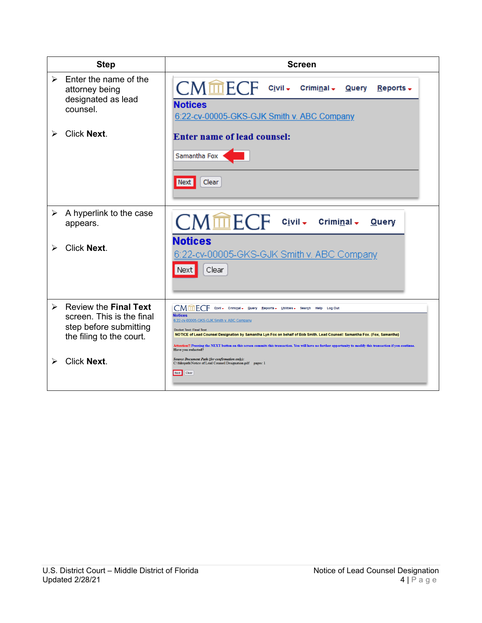| <b>Step</b>                                                                                                          | <b>Screen</b>                                                                                                                                                                                                                                                                                                                                                                                                                                                                              |
|----------------------------------------------------------------------------------------------------------------------|--------------------------------------------------------------------------------------------------------------------------------------------------------------------------------------------------------------------------------------------------------------------------------------------------------------------------------------------------------------------------------------------------------------------------------------------------------------------------------------------|
| Enter the name of the<br>$\blacktriangleright$<br>attorney being<br>designated as lead<br>counsel.                   | $CMmECF$ $Civii$<br>Criminal –<br><b>Query</b><br>Reports $\star$<br><b>Notices</b><br>6:22-cv-00005-GKS-GJK Smith v. ABC Company                                                                                                                                                                                                                                                                                                                                                          |
| <b>Click Next.</b>                                                                                                   | <b>Enter name of lead counsel:</b><br>Samantha Fox<br>Clear<br>Next                                                                                                                                                                                                                                                                                                                                                                                                                        |
| A hyperlink to the case<br>➤<br>appears.<br><b>Click Next.</b><br>➤                                                  | CMmECF<br>– C <u>i</u> vil –<br>Criminal $\star$<br><b>Query</b><br><b>Notices</b><br>6:22-cv-00005-GKS-GJK Smith v. ABC Company<br>Clear<br>Next                                                                                                                                                                                                                                                                                                                                          |
|                                                                                                                      |                                                                                                                                                                                                                                                                                                                                                                                                                                                                                            |
| <b>Review the Final Text</b><br>↘<br>screen. This is the final<br>step before submitting<br>the filing to the court. | Civil - Criminal - Query Reports - Utilities - Search Help Log Out<br><b>Notices</b><br>6:22-cv-00005-GKS-GJK Smith v. ABC Company<br><b>Docket Text: Final Text</b><br>NOTICE of Lead Counsel Designation by Samantha Lyn Fox on behalf of Bob Smith. Lead Counsel: Samantha Fox. (Fox, Samantha)<br>Attention!! Pressing the NEXT button on this screen commits this transaction. You will have no further opportunity to modify this transaction if you continue.<br>Have you redacted? |
| <b>Click Next.</b>                                                                                                   | <b>Source Document Path (for confirmation only):</b><br>C:\fakepath\Notice of Lead Counsel Designation.pdf pages: 1<br>Next Clear                                                                                                                                                                                                                                                                                                                                                          |